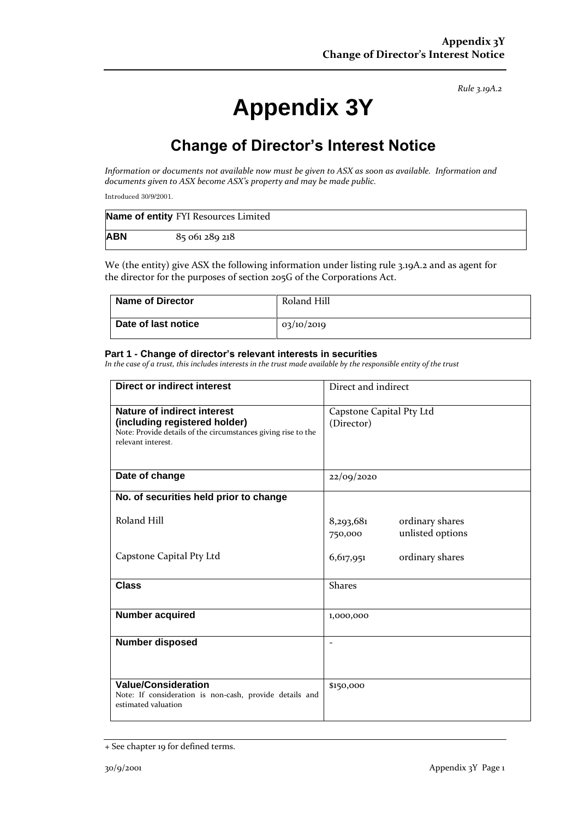*Rule 3.19A.2*

# **Appendix 3Y**

## **Change of Director's Interest Notice**

*Information or documents not available now must be given to ASX as soon as available. Information and documents given to ASX become ASX's property and may be made public.*

Introduced 30/9/2001.

|            | Name of entity FYI Resources Limited |
|------------|--------------------------------------|
| <b>ABN</b> | 85 061 289 218                       |

We (the entity) give ASX the following information under listing rule 3.19A.2 and as agent for the director for the purposes of section 205G of the Corporations Act.

| <b>Name of Director</b> | Roland Hill |
|-------------------------|-------------|
| Date of last notice     | 03/10/2019  |

#### **Part 1 - Change of director's relevant interests in securities**

*In the case of a trust, this includes interests in the trust made available by the responsible entity of the trust*

| <b>Direct or indirect interest</b>                                                                                                                         | Direct and indirect                                         |  |
|------------------------------------------------------------------------------------------------------------------------------------------------------------|-------------------------------------------------------------|--|
| <b>Nature of indirect interest</b><br>(including registered holder)<br>Note: Provide details of the circumstances giving rise to the<br>relevant interest. | Capstone Capital Pty Ltd<br>(Director)                      |  |
| Date of change                                                                                                                                             | 22/09/2020                                                  |  |
| No. of securities held prior to change                                                                                                                     |                                                             |  |
| Roland Hill                                                                                                                                                | ordinary shares<br>8,293,681<br>unlisted options<br>750,000 |  |
| Capstone Capital Pty Ltd                                                                                                                                   | 6,617,951<br>ordinary shares                                |  |
| <b>Class</b>                                                                                                                                               | <b>Shares</b>                                               |  |
| <b>Number acquired</b>                                                                                                                                     | 1,000,000                                                   |  |
| <b>Number disposed</b>                                                                                                                                     |                                                             |  |
| <b>Value/Consideration</b><br>Note: If consideration is non-cash, provide details and<br>estimated valuation                                               | \$150,000                                                   |  |

<sup>+</sup> See chapter 19 for defined terms.